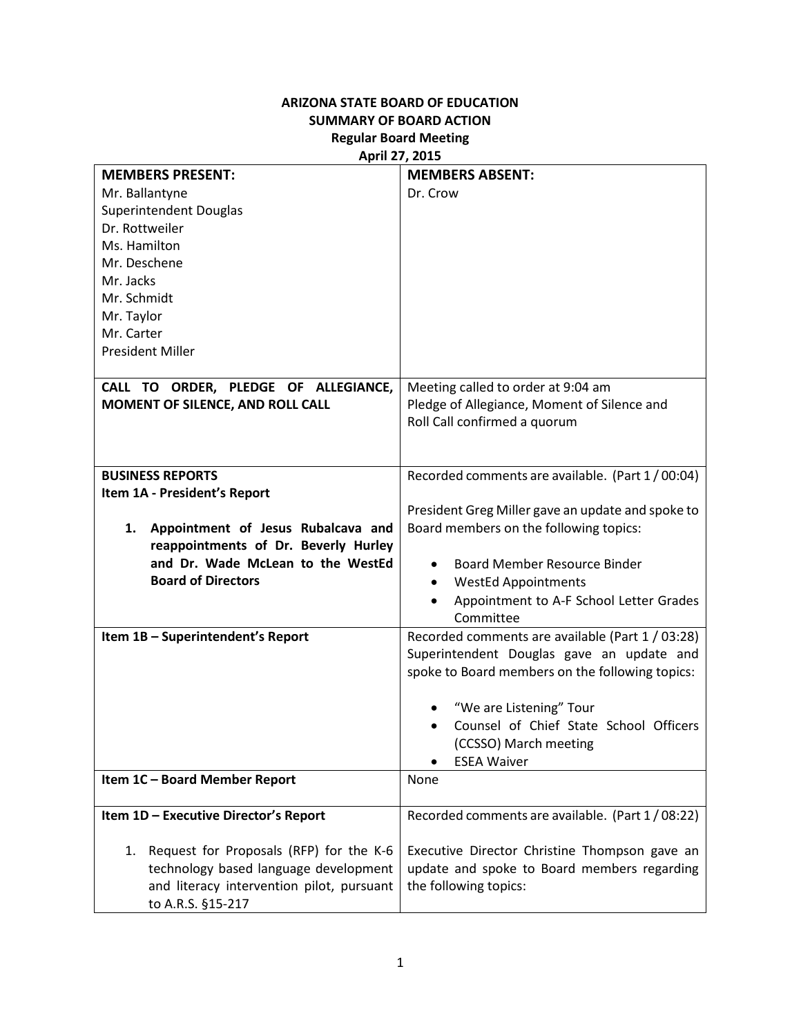## **ARIZONA STATE BOARD OF EDUCATION SUMMARY OF BOARD ACTION Regular Board Meeting April 27, 2015**

| <b>MEMBERS PRESENT:</b>                       | <b>MEMBERS ABSENT:</b>                            |
|-----------------------------------------------|---------------------------------------------------|
| Mr. Ballantyne                                | Dr. Crow                                          |
| <b>Superintendent Douglas</b>                 |                                                   |
| Dr. Rottweiler                                |                                                   |
| Ms. Hamilton                                  |                                                   |
| Mr. Deschene                                  |                                                   |
| Mr. Jacks                                     |                                                   |
| Mr. Schmidt                                   |                                                   |
| Mr. Taylor                                    |                                                   |
| Mr. Carter                                    |                                                   |
| <b>President Miller</b>                       |                                                   |
|                                               |                                                   |
| CALL TO ORDER, PLEDGE OF ALLEGIANCE,          | Meeting called to order at 9:04 am                |
| MOMENT OF SILENCE, AND ROLL CALL              | Pledge of Allegiance, Moment of Silence and       |
|                                               | Roll Call confirmed a quorum                      |
|                                               |                                                   |
|                                               |                                                   |
| <b>BUSINESS REPORTS</b>                       | Recorded comments are available. (Part 1/00:04)   |
| Item 1A - President's Report                  |                                                   |
|                                               | President Greg Miller gave an update and spoke to |
| Appointment of Jesus Rubalcava and<br>1.      | Board members on the following topics:            |
| reappointments of Dr. Beverly Hurley          |                                                   |
| and Dr. Wade McLean to the WestEd             | <b>Board Member Resource Binder</b>               |
| <b>Board of Directors</b>                     | <b>WestEd Appointments</b><br>$\bullet$           |
|                                               | Appointment to A-F School Letter Grades           |
|                                               | Committee                                         |
| Item 1B - Superintendent's Report             | Recorded comments are available (Part 1 / 03:28)  |
|                                               | Superintendent Douglas gave an update and         |
|                                               | spoke to Board members on the following topics:   |
|                                               |                                                   |
|                                               | "We are Listening" Tour                           |
|                                               | Counsel of Chief State School Officers            |
|                                               | (CCSSO) March meeting                             |
|                                               | <b>ESEA Waiver</b><br>٠                           |
| Item 1C - Board Member Report                 | None                                              |
|                                               |                                                   |
| Item 1D - Executive Director's Report         | Recorded comments are available. (Part 1/08:22)   |
|                                               |                                                   |
| Request for Proposals (RFP) for the K-6<br>1. | Executive Director Christine Thompson gave an     |
| technology based language development         | update and spoke to Board members regarding       |
| and literacy intervention pilot, pursuant     | the following topics:                             |
| to A.R.S. §15-217                             |                                                   |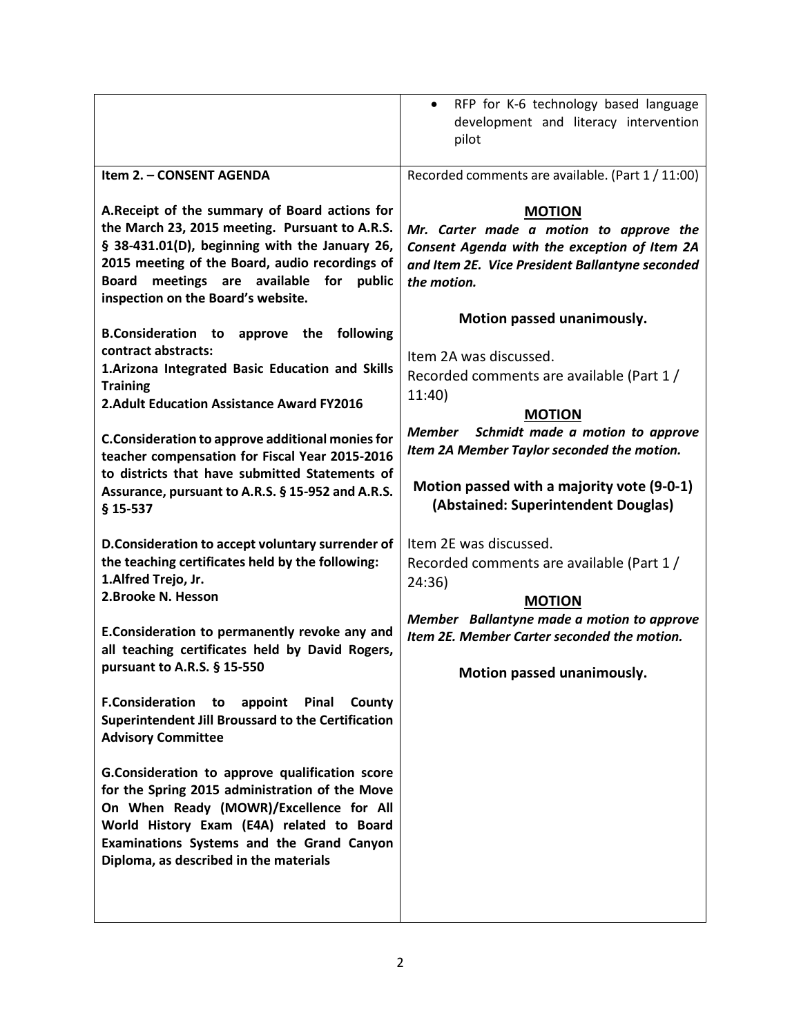|                                                                                                                                                                                                                                                                                                 | RFP for K-6 technology based language<br>$\bullet$<br>development and literacy intervention<br>pilot                                                                                        |
|-------------------------------------------------------------------------------------------------------------------------------------------------------------------------------------------------------------------------------------------------------------------------------------------------|---------------------------------------------------------------------------------------------------------------------------------------------------------------------------------------------|
| Item 2. - CONSENT AGENDA                                                                                                                                                                                                                                                                        | Recorded comments are available. (Part 1 / 11:00)                                                                                                                                           |
| A. Receipt of the summary of Board actions for<br>the March 23, 2015 meeting. Pursuant to A.R.S.<br>§ 38-431.01(D), beginning with the January 26,<br>2015 meeting of the Board, audio recordings of<br>meetings are available for public<br><b>Board</b><br>inspection on the Board's website. | <b>MOTION</b><br>Mr. Carter made a motion to approve the<br>Consent Agenda with the exception of Item 2A<br>and Item 2E. Vice President Ballantyne seconded<br>the motion.                  |
| <b>B.Consideration</b> to<br>approve the following                                                                                                                                                                                                                                              | Motion passed unanimously.                                                                                                                                                                  |
| contract abstracts:<br>1. Arizona Integrated Basic Education and Skills<br><b>Training</b><br>2. Adult Education Assistance Award FY2016                                                                                                                                                        | Item 2A was discussed.<br>Recorded comments are available (Part 1/<br>11:40                                                                                                                 |
| C.Consideration to approve additional monies for<br>teacher compensation for Fiscal Year 2015-2016<br>to districts that have submitted Statements of<br>Assurance, pursuant to A.R.S. § 15-952 and A.R.S.<br>$$15-537$                                                                          | <b>MOTION</b><br>Member Schmidt made a motion to approve<br>Item 2A Member Taylor seconded the motion.<br>Motion passed with a majority vote (9-0-1)<br>(Abstained: Superintendent Douglas) |
| D.Consideration to accept voluntary surrender of<br>the teaching certificates held by the following:<br>1.Alfred Trejo, Jr.<br>2.Brooke N. Hesson                                                                                                                                               | Item 2E was discussed.<br>Recorded comments are available (Part 1 /<br>24:36)<br><b>MOTION</b>                                                                                              |
| E.Consideration to permanently revoke any and<br>all teaching certificates held by David Rogers,                                                                                                                                                                                                | Member Ballantyne made a motion to approve<br>Item 2E. Member Carter seconded the motion.                                                                                                   |
| pursuant to A.R.S. § 15-550                                                                                                                                                                                                                                                                     | Motion passed unanimously.                                                                                                                                                                  |
| <b>F.Consideration</b> to<br>appoint Pinal<br>County<br>Superintendent Jill Broussard to the Certification<br><b>Advisory Committee</b>                                                                                                                                                         |                                                                                                                                                                                             |
| G.Consideration to approve qualification score<br>for the Spring 2015 administration of the Move<br>On When Ready (MOWR)/Excellence for All<br>World History Exam (E4A) related to Board<br>Examinations Systems and the Grand Canyon<br>Diploma, as described in the materials                 |                                                                                                                                                                                             |
|                                                                                                                                                                                                                                                                                                 |                                                                                                                                                                                             |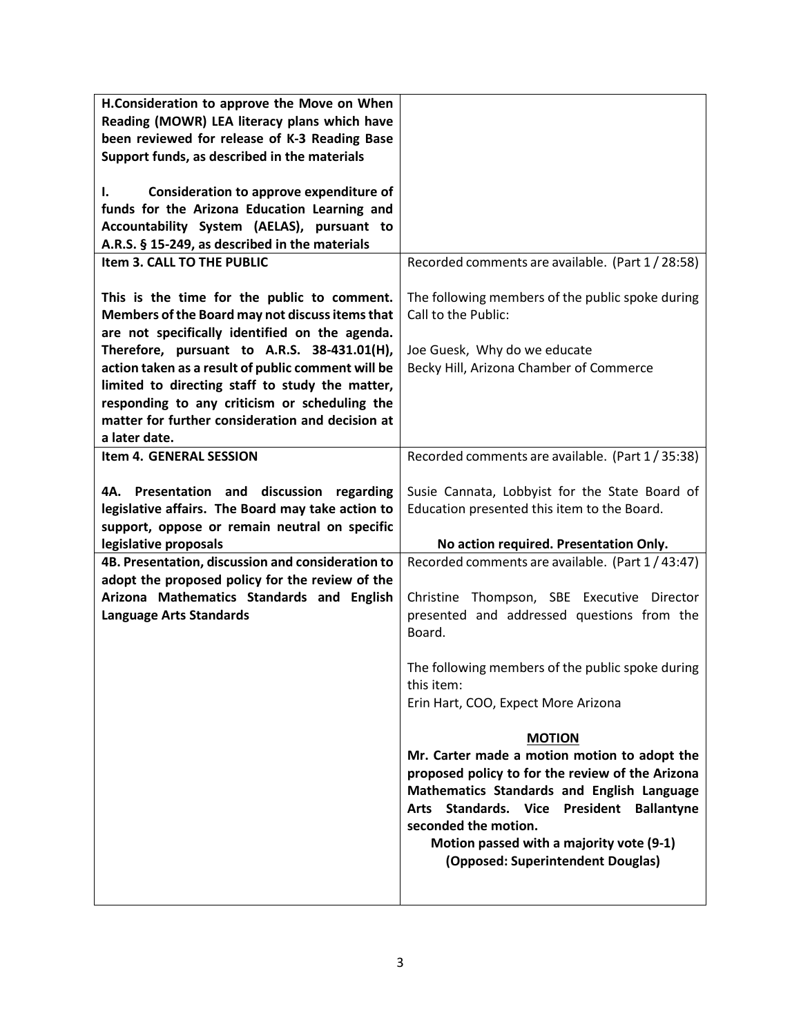| H.Consideration to approve the Move on When<br>Reading (MOWR) LEA literacy plans which have                                                      |                                                                                                                                                                                                                                                                                                                |
|--------------------------------------------------------------------------------------------------------------------------------------------------|----------------------------------------------------------------------------------------------------------------------------------------------------------------------------------------------------------------------------------------------------------------------------------------------------------------|
| been reviewed for release of K-3 Reading Base                                                                                                    |                                                                                                                                                                                                                                                                                                                |
| Support funds, as described in the materials                                                                                                     |                                                                                                                                                                                                                                                                                                                |
| Consideration to approve expenditure of<br>I.                                                                                                    |                                                                                                                                                                                                                                                                                                                |
| funds for the Arizona Education Learning and                                                                                                     |                                                                                                                                                                                                                                                                                                                |
| Accountability System (AELAS), pursuant to                                                                                                       |                                                                                                                                                                                                                                                                                                                |
| A.R.S. § 15-249, as described in the materials                                                                                                   |                                                                                                                                                                                                                                                                                                                |
| Item 3. CALL TO THE PUBLIC                                                                                                                       | Recorded comments are available. (Part 1/28:58)                                                                                                                                                                                                                                                                |
| This is the time for the public to comment.<br>Members of the Board may not discuss items that<br>are not specifically identified on the agenda. | The following members of the public spoke during<br>Call to the Public:                                                                                                                                                                                                                                        |
| Therefore, pursuant to A.R.S. 38-431.01(H),                                                                                                      | Joe Guesk, Why do we educate                                                                                                                                                                                                                                                                                   |
| action taken as a result of public comment will be                                                                                               | Becky Hill, Arizona Chamber of Commerce                                                                                                                                                                                                                                                                        |
| limited to directing staff to study the matter,                                                                                                  |                                                                                                                                                                                                                                                                                                                |
| responding to any criticism or scheduling the                                                                                                    |                                                                                                                                                                                                                                                                                                                |
| matter for further consideration and decision at                                                                                                 |                                                                                                                                                                                                                                                                                                                |
| a later date.                                                                                                                                    |                                                                                                                                                                                                                                                                                                                |
| Item 4. GENERAL SESSION                                                                                                                          | Recorded comments are available. (Part 1/35:38)                                                                                                                                                                                                                                                                |
|                                                                                                                                                  |                                                                                                                                                                                                                                                                                                                |
| 4A. Presentation and discussion regarding                                                                                                        | Susie Cannata, Lobbyist for the State Board of                                                                                                                                                                                                                                                                 |
|                                                                                                                                                  |                                                                                                                                                                                                                                                                                                                |
| legislative affairs. The Board may take action to                                                                                                | Education presented this item to the Board.                                                                                                                                                                                                                                                                    |
| support, oppose or remain neutral on specific                                                                                                    |                                                                                                                                                                                                                                                                                                                |
| legislative proposals                                                                                                                            | No action required. Presentation Only.                                                                                                                                                                                                                                                                         |
| 4B. Presentation, discussion and consideration to                                                                                                | Recorded comments are available. (Part 1/43:47)                                                                                                                                                                                                                                                                |
| adopt the proposed policy for the review of the                                                                                                  |                                                                                                                                                                                                                                                                                                                |
| Arizona Mathematics Standards and English                                                                                                        | Christine Thompson, SBE Executive<br>Director                                                                                                                                                                                                                                                                  |
| <b>Language Arts Standards</b>                                                                                                                   | presented and addressed questions from the                                                                                                                                                                                                                                                                     |
|                                                                                                                                                  | Board.                                                                                                                                                                                                                                                                                                         |
|                                                                                                                                                  | The following members of the public spoke during                                                                                                                                                                                                                                                               |
|                                                                                                                                                  | this item:                                                                                                                                                                                                                                                                                                     |
|                                                                                                                                                  | Erin Hart, COO, Expect More Arizona                                                                                                                                                                                                                                                                            |
|                                                                                                                                                  |                                                                                                                                                                                                                                                                                                                |
|                                                                                                                                                  | <b>MOTION</b>                                                                                                                                                                                                                                                                                                  |
|                                                                                                                                                  | Mr. Carter made a motion motion to adopt the<br>proposed policy to for the review of the Arizona<br>Mathematics Standards and English Language<br>Standards. Vice President Ballantyne<br><b>Arts</b><br>seconded the motion.<br>Motion passed with a majority vote (9-1)<br>(Opposed: Superintendent Douglas) |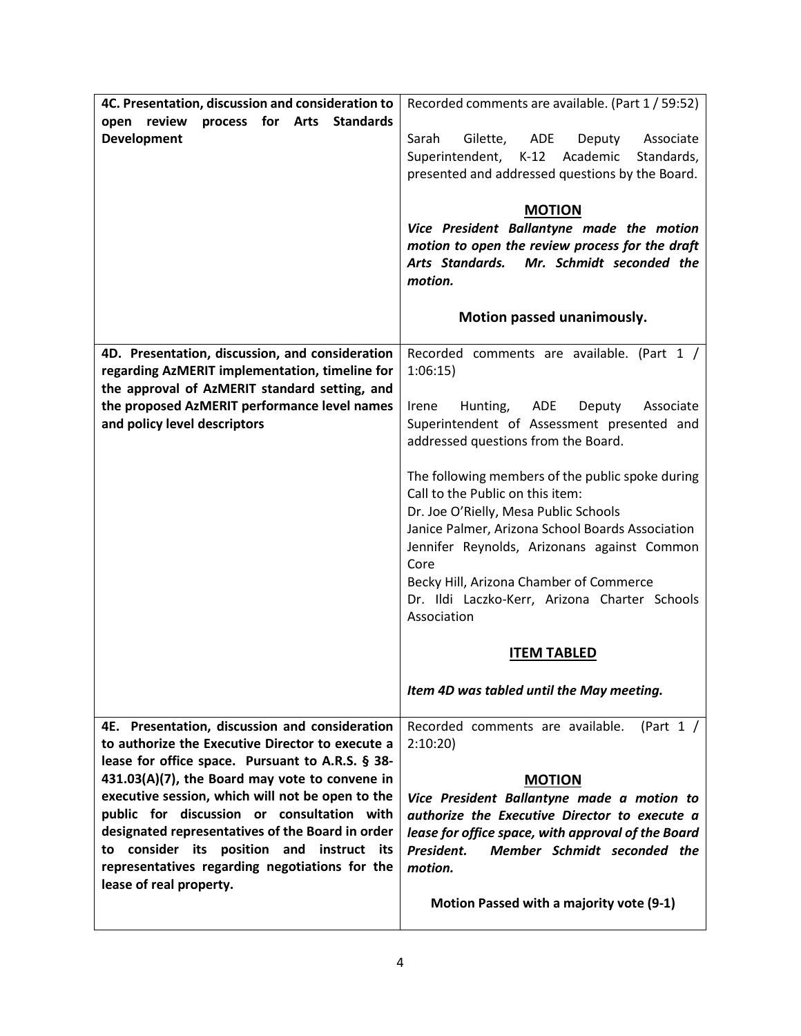| 4C. Presentation, discussion and consideration to<br>review<br>process for Arts Standards<br>open<br><b>Development</b>                                                                                                                                                                                                                                                                                                                                                                  | Recorded comments are available. (Part 1 / 59:52)<br>Sarah<br>Gilette,<br>ADE<br>Associate<br>Deputy<br>Superintendent,<br>Academic<br>$K-12$<br>Standards,<br>presented and addressed questions by the Board.<br><b>MOTION</b><br>Vice President Ballantyne made the motion<br>motion to open the review process for the draft<br>Arts Standards. Mr. Schmidt seconded the<br>motion.<br>Motion passed unanimously.                                                                                                                                                                                                    |
|------------------------------------------------------------------------------------------------------------------------------------------------------------------------------------------------------------------------------------------------------------------------------------------------------------------------------------------------------------------------------------------------------------------------------------------------------------------------------------------|-------------------------------------------------------------------------------------------------------------------------------------------------------------------------------------------------------------------------------------------------------------------------------------------------------------------------------------------------------------------------------------------------------------------------------------------------------------------------------------------------------------------------------------------------------------------------------------------------------------------------|
| 4D. Presentation, discussion, and consideration<br>regarding AzMERIT implementation, timeline for<br>the approval of AzMERIT standard setting, and<br>the proposed AzMERIT performance level names<br>and policy level descriptors                                                                                                                                                                                                                                                       | Recorded comments are available. (Part 1 /<br>1:06:15<br>ADE<br>Irene<br>Hunting,<br>Deputy<br>Associate<br>Superintendent of Assessment presented and<br>addressed questions from the Board.<br>The following members of the public spoke during<br>Call to the Public on this item:<br>Dr. Joe O'Rielly, Mesa Public Schools<br>Janice Palmer, Arizona School Boards Association<br>Jennifer Reynolds, Arizonans against Common<br>Core<br>Becky Hill, Arizona Chamber of Commerce<br>Dr. Ildi Laczko-Kerr, Arizona Charter Schools<br>Association<br><b>ITEM TABLED</b><br>Item 4D was tabled until the May meeting. |
| 4E. Presentation, discussion and consideration<br>to authorize the Executive Director to execute a<br>lease for office space. Pursuant to A.R.S. § 38-<br>431.03(A)(7), the Board may vote to convene in<br>executive session, which will not be open to the<br>public for discussion or consultation with<br>designated representatives of the Board in order<br>to consider its position and instruct its<br>representatives regarding negotiations for the<br>lease of real property. | (Part $1 /$<br>Recorded comments are available.<br>2:10:20<br><b>MOTION</b><br>Vice President Ballantyne made a motion to<br>authorize the Executive Director to execute a<br>lease for office space, with approval of the Board<br>Member Schmidt seconded the<br>President.<br>motion.<br>Motion Passed with a majority vote (9-1)                                                                                                                                                                                                                                                                                    |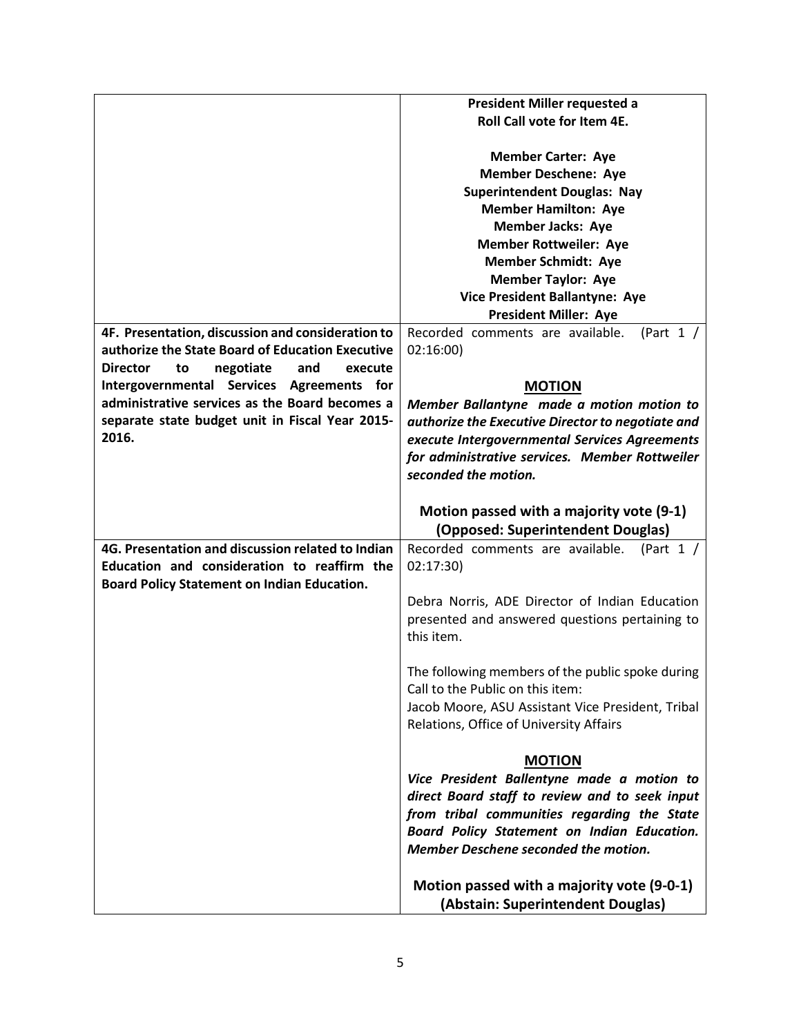|                                                      | President Miller requested a                      |
|------------------------------------------------------|---------------------------------------------------|
|                                                      | Roll Call vote for Item 4E.                       |
|                                                      |                                                   |
|                                                      | <b>Member Carter: Aye</b>                         |
|                                                      | <b>Member Deschene: Aye</b>                       |
|                                                      |                                                   |
|                                                      | <b>Superintendent Douglas: Nay</b>                |
|                                                      | <b>Member Hamilton: Aye</b>                       |
|                                                      | <b>Member Jacks: Aye</b>                          |
|                                                      | <b>Member Rottweiler: Aye</b>                     |
|                                                      | <b>Member Schmidt: Aye</b>                        |
|                                                      | <b>Member Taylor: Aye</b>                         |
|                                                      | Vice President Ballantyne: Aye                    |
|                                                      | <b>President Miller: Aye</b>                      |
| 4F. Presentation, discussion and consideration to    | Recorded comments are available.<br>(Part $1/$    |
| authorize the State Board of Education Executive     | 02:16:00                                          |
| <b>Director</b><br>negotiate<br>and<br>execute<br>to |                                                   |
| Intergovernmental Services Agreements for            | <b>MOTION</b>                                     |
| administrative services as the Board becomes a       | Member Ballantyne made a motion motion to         |
| separate state budget unit in Fiscal Year 2015-      | authorize the Executive Director to negotiate and |
| 2016.                                                | execute Intergovernmental Services Agreements     |
|                                                      | for administrative services. Member Rottweiler    |
|                                                      | seconded the motion.                              |
|                                                      |                                                   |
|                                                      |                                                   |
|                                                      | Motion passed with a majority vote (9-1)          |
|                                                      | (Opposed: Superintendent Douglas)                 |
| 4G. Presentation and discussion related to Indian    | Recorded comments are available.<br>(Part $1 /$   |
| Education and consideration to reaffirm the          | 02:17:30)                                         |
| Board Policy Statement on Indian Education.          |                                                   |
|                                                      | Debra Norris, ADE Director of Indian Education    |
|                                                      | presented and answered questions pertaining to    |
|                                                      | this item.                                        |
|                                                      |                                                   |
|                                                      | The following members of the public spoke during  |
|                                                      | Call to the Public on this item:                  |
|                                                      | Jacob Moore, ASU Assistant Vice President, Tribal |
|                                                      | Relations, Office of University Affairs           |
|                                                      |                                                   |
|                                                      | <b>MOTION</b>                                     |
|                                                      | Vice President Ballentyne made a motion to        |
|                                                      |                                                   |
|                                                      | direct Board staff to review and to seek input    |
|                                                      | from tribal communities regarding the State       |
|                                                      | Board Policy Statement on Indian Education.       |
|                                                      | Member Deschene seconded the motion.              |
|                                                      |                                                   |
|                                                      | Motion passed with a majority vote (9-0-1)        |
|                                                      | (Abstain: Superintendent Douglas)                 |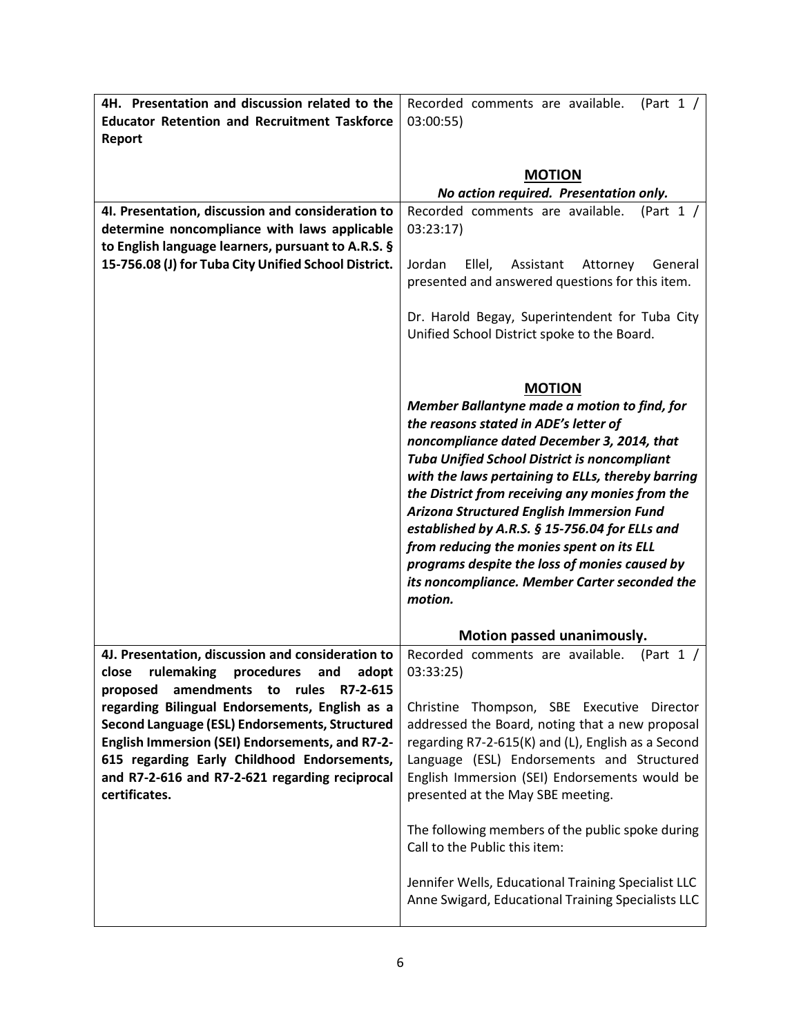| 4H. Presentation and discussion related to the       | Recorded comments are available.<br>(Part $1 /$                                   |
|------------------------------------------------------|-----------------------------------------------------------------------------------|
| <b>Educator Retention and Recruitment Taskforce</b>  | 03:00:55                                                                          |
| Report                                               |                                                                                   |
|                                                      |                                                                                   |
|                                                      | <b>MOTION</b>                                                                     |
|                                                      | No action required. Presentation only.                                            |
| 4I. Presentation, discussion and consideration to    | (Part $1 /$<br>Recorded comments are available.                                   |
| determine noncompliance with laws applicable         | 03:23:17                                                                          |
| to English language learners, pursuant to A.R.S. §   |                                                                                   |
| 15-756.08 (J) for Tuba City Unified School District. | Ellel,<br>Jordan<br>Assistant<br>Attorney<br>General                              |
|                                                      | presented and answered questions for this item.                                   |
|                                                      |                                                                                   |
|                                                      | Dr. Harold Begay, Superintendent for Tuba City                                    |
|                                                      | Unified School District spoke to the Board.                                       |
|                                                      |                                                                                   |
|                                                      | <b>MOTION</b>                                                                     |
|                                                      | Member Ballantyne made a motion to find, for                                      |
|                                                      | the reasons stated in ADE's letter of                                             |
|                                                      | noncompliance dated December 3, 2014, that                                        |
|                                                      | <b>Tuba Unified School District is noncompliant</b>                               |
|                                                      | with the laws pertaining to ELLs, thereby barring                                 |
|                                                      | the District from receiving any monies from the                                   |
|                                                      | <b>Arizona Structured English Immersion Fund</b>                                  |
|                                                      | established by A.R.S. § 15-756.04 for ELLs and                                    |
|                                                      | from reducing the monies spent on its ELL                                         |
|                                                      | programs despite the loss of monies caused by                                     |
|                                                      | its noncompliance. Member Carter seconded the                                     |
|                                                      | motion.                                                                           |
|                                                      |                                                                                   |
|                                                      | Motion passed unanimously.                                                        |
| 4J. Presentation, discussion and consideration to    | Recorded comments are available.<br>(Part $1/$                                    |
| rulemaking<br>close<br>procedures<br>adopt<br>and    | 03:33:25                                                                          |
| proposed amendments to rules<br>R7-2-615             |                                                                                   |
| regarding Bilingual Endorsements, English as a       | Christine Thompson, SBE Executive Director                                        |
| Second Language (ESL) Endorsements, Structured       | addressed the Board, noting that a new proposal                                   |
| English Immersion (SEI) Endorsements, and R7-2-      | regarding R7-2-615(K) and (L), English as a Second                                |
| 615 regarding Early Childhood Endorsements,          | Language (ESL) Endorsements and Structured                                        |
| and R7-2-616 and R7-2-621 regarding reciprocal       | English Immersion (SEI) Endorsements would be                                     |
|                                                      |                                                                                   |
| certificates.                                        | presented at the May SBE meeting.                                                 |
|                                                      |                                                                                   |
|                                                      | The following members of the public spoke during<br>Call to the Public this item: |
|                                                      |                                                                                   |
|                                                      | Jennifer Wells, Educational Training Specialist LLC                               |
|                                                      | Anne Swigard, Educational Training Specialists LLC                                |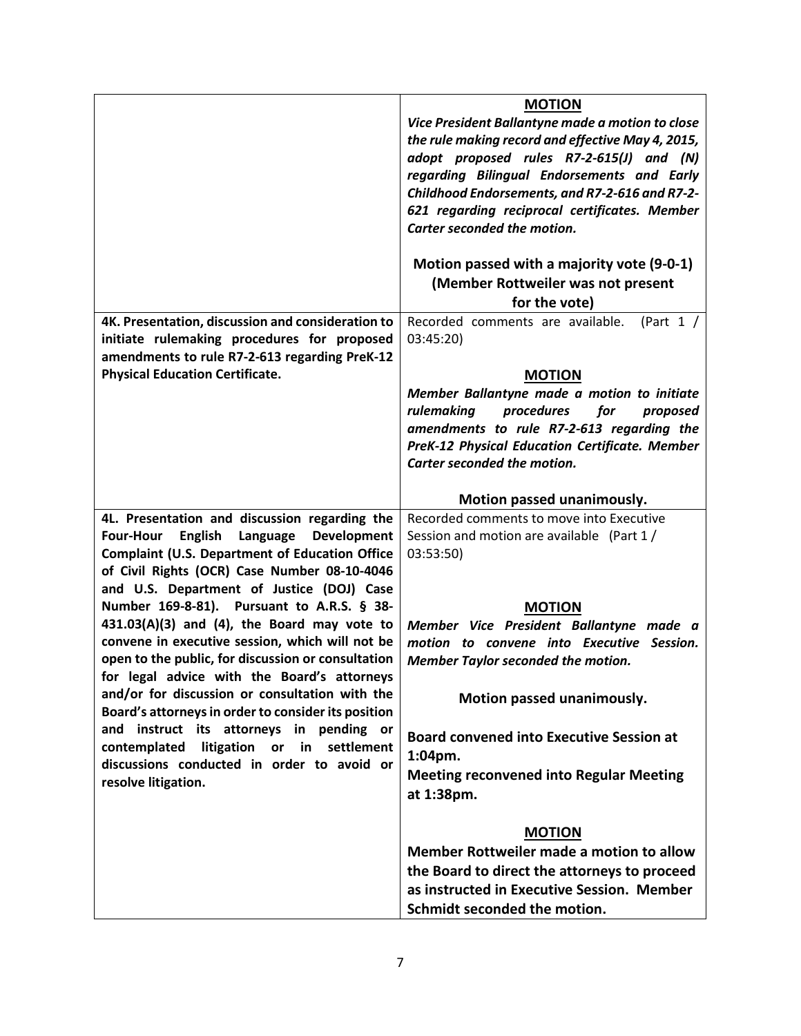|                                                                      | <b>MOTION</b>                                         |
|----------------------------------------------------------------------|-------------------------------------------------------|
|                                                                      | Vice President Ballantyne made a motion to close      |
|                                                                      | the rule making record and effective May 4, 2015,     |
|                                                                      | adopt proposed rules R7-2-615(J) and (N)              |
|                                                                      | regarding Bilingual Endorsements and Early            |
|                                                                      | Childhood Endorsements, and R7-2-616 and R7-2-        |
|                                                                      | 621 regarding reciprocal certificates. Member         |
|                                                                      | Carter seconded the motion.                           |
|                                                                      |                                                       |
|                                                                      | Motion passed with a majority vote (9-0-1)            |
|                                                                      | (Member Rottweiler was not present                    |
|                                                                      | for the vote)                                         |
| 4K. Presentation, discussion and consideration to                    | Recorded comments are available.<br>(Part $1 /$       |
| initiate rulemaking procedures for proposed                          | 03:45:20)                                             |
| amendments to rule R7-2-613 regarding PreK-12                        |                                                       |
| <b>Physical Education Certificate.</b>                               | <b>MOTION</b>                                         |
|                                                                      | Member Ballantyne made a motion to initiate           |
|                                                                      | procedures<br>rulemaking<br>for<br>proposed           |
|                                                                      | amendments to rule R7-2-613 regarding the             |
|                                                                      | <b>PreK-12 Physical Education Certificate. Member</b> |
|                                                                      | Carter seconded the motion.                           |
|                                                                      |                                                       |
|                                                                      | Motion passed unanimously.                            |
| 4L. Presentation and discussion regarding the                        | Recorded comments to move into Executive              |
| <b>Four-Hour</b><br><b>English</b><br>Language<br><b>Development</b> | Session and motion are available (Part 1 /            |
| <b>Complaint (U.S. Department of Education Office</b>                | 03:53:50)                                             |
| of Civil Rights (OCR) Case Number 08-10-4046                         |                                                       |
| and U.S. Department of Justice (DOJ) Case                            |                                                       |
| Number 169-8-81). Pursuant to A.R.S. § 38-                           | <b>MOTION</b>                                         |
| 431.03(A)(3) and (4), the Board may vote to                          | Member Vice President Ballantyne made a               |
| convene in executive session, which will not be                      | motion to convene into Executive Session.             |
| open to the public, for discussion or consultation                   | <b>Member Taylor seconded the motion.</b>             |
| for legal advice with the Board's attorneys                          |                                                       |
| and/or for discussion or consultation with the                       | Motion passed unanimously.                            |
| Board's attorneys in order to consider its position                  |                                                       |
| and instruct its attorneys in pending or                             | <b>Board convened into Executive Session at</b>       |
| contemplated<br>litigation<br>or in<br>settlement                    |                                                       |
| discussions conducted in order to avoid or                           | 1:04pm.                                               |
| resolve litigation.                                                  | <b>Meeting reconvened into Regular Meeting</b>        |
|                                                                      | at 1:38pm.                                            |
|                                                                      | <b>MOTION</b>                                         |
|                                                                      | Member Rottweiler made a motion to allow              |
|                                                                      |                                                       |
|                                                                      | the Board to direct the attorneys to proceed          |
|                                                                      | as instructed in Executive Session. Member            |
|                                                                      | Schmidt seconded the motion.                          |